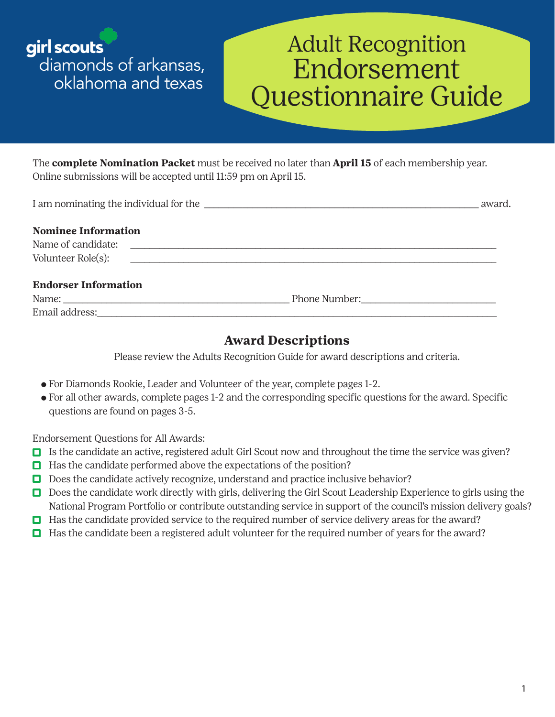girl scouts diamonds of arkansas, oklahoma and texas

# Adult Recognition Endorsement Questionnaire Guide

The **complete Nomination Packet** must be received no later than **April 15** of each membership year. Online submissions will be accepted until 11:59 pm on April 15.

| I am nominating the individual for the summary and the state of the state of the state of the state of the state of the state of the state of the state of the state of the state of the state of the state of the state of th | award. |
|--------------------------------------------------------------------------------------------------------------------------------------------------------------------------------------------------------------------------------|--------|
| <b>Nominee Information</b>                                                                                                                                                                                                     |        |
|                                                                                                                                                                                                                                |        |
|                                                                                                                                                                                                                                |        |
| <b>Endorser Information</b>                                                                                                                                                                                                    |        |
|                                                                                                                                                                                                                                |        |
|                                                                                                                                                                                                                                |        |

## **Award Descriptions**

Please review the Adults Recognition Guide for award descriptions and criteria.

- ⚬ For Diamonds Rookie, Leader and Volunteer of the year, complete pages 1-2.
- ⚬ For all other awards, complete pages 1-2 and the corresponding specific questions for the award. Specific questions are found on pages 3-5.

Endorsement Questions for All Awards:

- Is the candidate an active, registered adult Girl Scout now and throughout the time the service was given?
- $\Box$  Has the candidate performed above the expectations of the position?
- Does the candidate actively recognize, understand and practice inclusive behavior?
- Does the candidate work directly with girls, delivering the Girl Scout Leadership Experience to girls using the National Program Portfolio or contribute outstanding service in support of the council's mission delivery goals?
- Has the candidate provided service to the required number of service delivery areas for the award?
- $\Box$  Has the candidate been a registered adult volunteer for the required number of years for the award?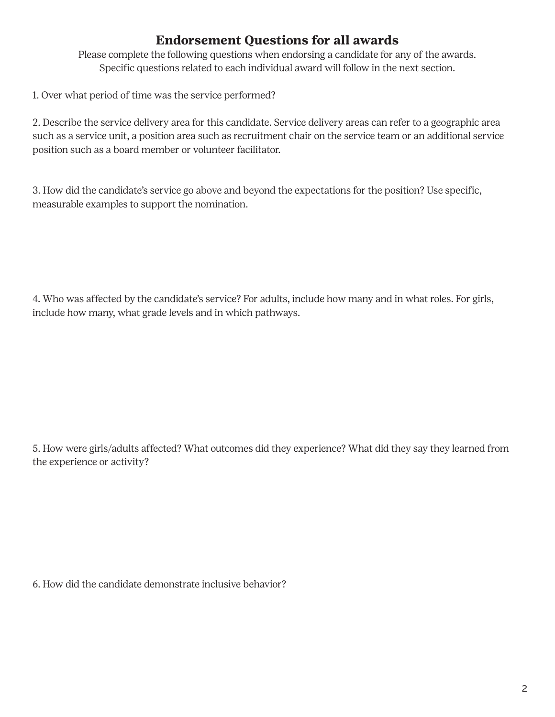## **Endorsement Questions for all awards**

Please complete the following questions when endorsing a candidate for any of the awards. Specific questions related to each individual award will follow in the next section.

1. Over what period of time was the service performed?

2. Describe the service delivery area for this candidate. Service delivery areas can refer to a geographic area such as a service unit, a position area such as recruitment chair on the service team or an additional service position such as a board member or volunteer facilitator.

3. How did the candidate's service go above and beyond the expectations for the position? Use specific, measurable examples to support the nomination.

4. Who was affected by the candidate's service? For adults, include how many and in what roles. For girls, include how many, what grade levels and in which pathways.

5. How were girls/adults affected? What outcomes did they experience? What did they say they learned from the experience or activity?

6. How did the candidate demonstrate inclusive behavior?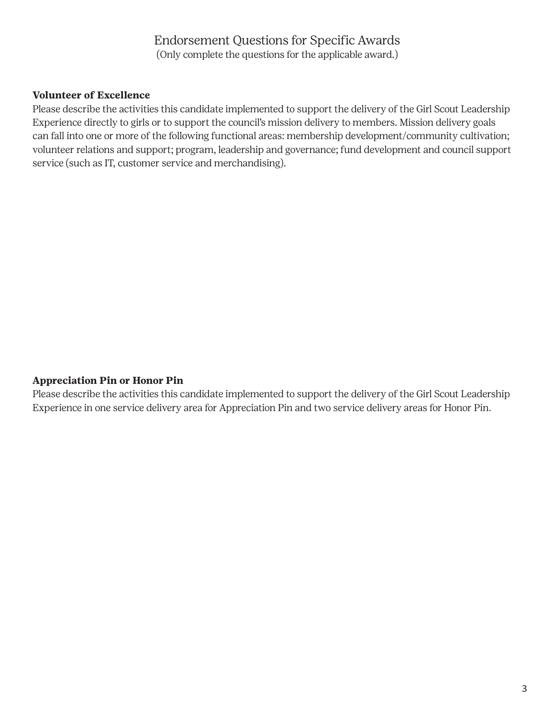### Endorsement Questions for Specific Awards (Only complete the questions for the applicable award.)

#### **Volunteer of Excellence**

Please describe the activities this candidate implemented to support the delivery of the Girl Scout Leadership Experience directly to girls or to support the council's mission delivery to members. Mission delivery goals can fall into one or more of the following functional areas: membership development/community cultivation; volunteer relations and support; program, leadership and governance; fund development and council support service (such as IT, customer service and merchandising).

#### **Appreciation Pin or Honor Pin**

Please describe the activities this candidate implemented to support the delivery of the Girl Scout Leadership Experience in one service delivery area for Appreciation Pin and two service delivery areas for Honor Pin.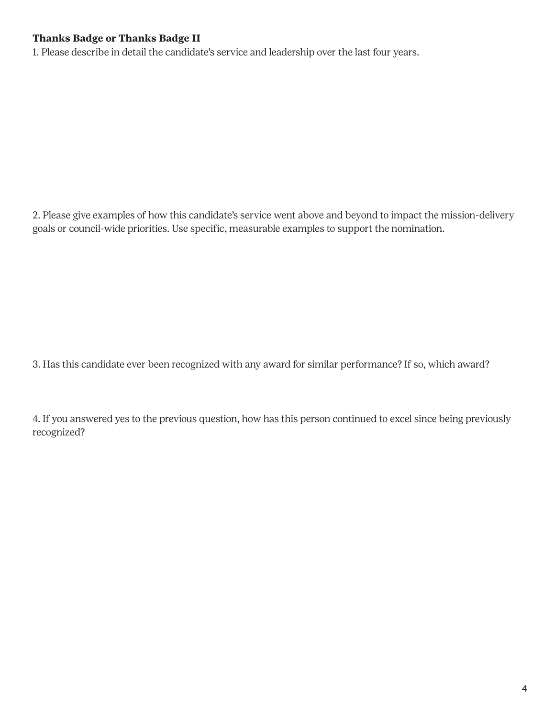#### **Thanks Badge or Thanks Badge II**

1. Please describe in detail the candidate's service and leadership over the last four years.

2. Please give examples of how this candidate's service went above and beyond to impact the mission-delivery goals or council-wide priorities. Use specific, measurable examples to support the nomination.

3. Has this candidate ever been recognized with any award for similar performance? If so, which award?

4. If you answered yes to the previous question, how has this person continued to excel since being previously recognized?